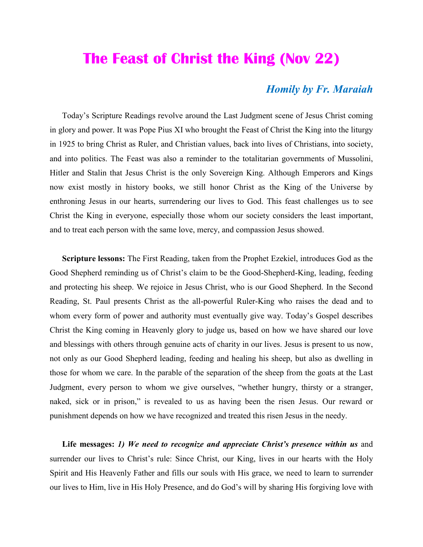## **The Feast of Christ the King (Nov 22)**

## *Homily by Fr. Maraiah*

 Today's Scripture Readings revolve around the Last Judgment scene of Jesus Christ coming in glory and power. It was Pope Pius XI who brought the Feast of Christ the King into the liturgy in 1925 to bring Christ as Ruler, and Christian values, back into lives of Christians, into society, and into politics. The Feast was also a reminder to the totalitarian governments of Mussolini, Hitler and Stalin that Jesus Christ is the only Sovereign King. Although Emperors and Kings now exist mostly in history books, we still honor Christ as the King of the Universe by enthroning Jesus in our hearts, surrendering our lives to God. This feast challenges us to see Christ the King in everyone, especially those whom our society considers the least important, and to treat each person with the same love, mercy, and compassion Jesus showed.

 **Scripture lessons:** The First Reading, taken from the Prophet Ezekiel, introduces God as the Good Shepherd reminding us of Christ's claim to be the Good-Shepherd-King, leading, feeding and protecting his sheep. We rejoice in Jesus Christ, who is our Good Shepherd. In the Second Reading, St. Paul presents Christ as the all-powerful Ruler-King who raises the dead and to whom every form of power and authority must eventually give way. Today's Gospel describes Christ the King coming in Heavenly glory to judge us, based on how we have shared our love and blessings with others through genuine acts of charity in our lives. Jesus is present to us now, not only as our Good Shepherd leading, feeding and healing his sheep, but also as dwelling in those for whom we care. In the parable of the separation of the sheep from the goats at the Last Judgment, every person to whom we give ourselves, "whether hungry, thirsty or a stranger, naked, sick or in prison," is revealed to us as having been the risen Jesus. Our reward or punishment depends on how we have recognized and treated this risen Jesus in the needy.

 **Life messages:** *1) We need to recognize and appreciate Christ's presence within us* and surrender our lives to Christ's rule: Since Christ, our King, lives in our hearts with the Holy Spirit and His Heavenly Father and fills our souls with His grace, we need to learn to surrender our lives to Him, live in His Holy Presence, and do God's will by sharing His forgiving love with